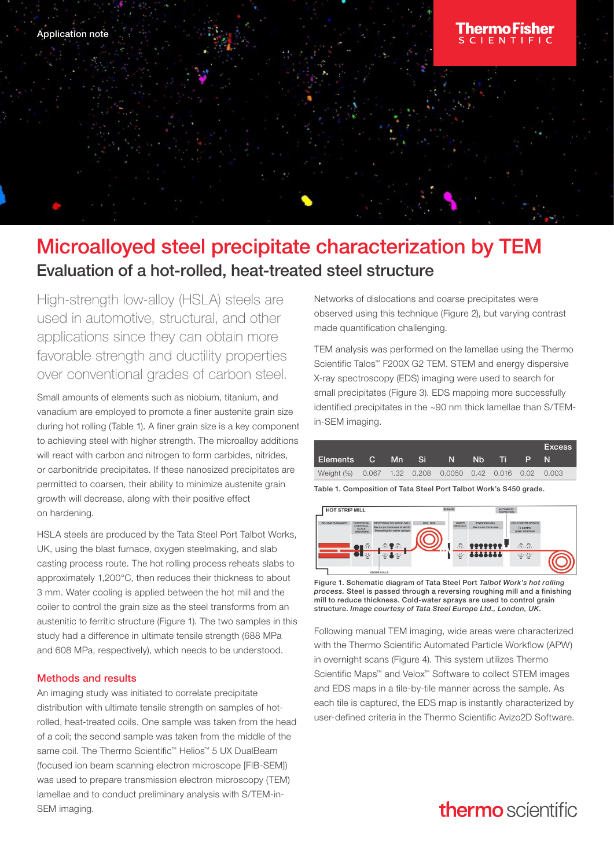# Microalloyed steel precipitate characterization by TEM Evaluation of a hot-rolled, heat-treated steel structure

High-strength low-alloy (HSLA) steels are used in automotive, structural, and other applications since they can obtain more favorable strength and ductility properties over conventional grades of carbon steel.

Small amounts of elements such as niobium, titanium, and vanadium are employed to promote a finer austenite grain size during hot rolling (Table 1). A finer grain size is a key component to achieving steel with higher strength. The microalloy additions will react with carbon and nitrogen to form carbides, nitrides, or carbonitride precipitates. If these nanosized precipitates are permitted to coarsen, their ability to minimize austenite grain growth will decrease, along with their positive effect on hardening.

HSLA steels are produced by the Tata Steel Port Talbot Works, UK, using the blast furnace, oxygen steelmaking, and slab casting process route. The hot rolling process reheats slabs to approximately 1,200°C, then reduces their thickness to about 3 mm. Water cooling is applied between the hot mill and the coiler to control the grain size as the steel transforms from an austenitic to ferritic structure (Figure 1). The two samples in this study had a difference in ultimate tensile strength (688 MPa and 608 MPa, respectively), which needs to be understood.

### Methods and results

An imaging study was initiated to correlate precipitate distribution with ultimate tensile strength on samples of hotrolled, heat-treated coils. One sample was taken from the head of a coil; the second sample was taken from the middle of the same coil. The Thermo Scientific™ Helios™ 5 UX DualBeam (focused ion beam scanning electron microscope [FIB-SEM]) was used to prepare transmission electron microscopy (TEM) lamellae and to conduct preliminary analysis with S/TEM-in-SEM imaging.

Networks of dislocations and coarse precipitates were observed using this technique (Figure 2), but varying contrast made quantification challenging.

TEM analysis was performed on the lamellae using the Thermo Scientific Talos™ F200X G2 TEM. STEM and energy dispersive X-ray spectroscopy (EDS) imaging were used to search for small precipitates (Figure 3). EDS mapping more successfully identified precipitates in the ~90 nm thick lamellae than S/TEMin-SEM imaging.



Table 1. Composition of Tata Steel Port Talbot Work's S450 grade.



Figure 1. Schematic diagram of Tata Steel Port *Talbot Work's hot rolling process.* Steel is passed through a reversing roughing mill and a finishing mill to reduce thickness. Cold-water sprays are used to control grain structure. *Image courtesy of Tata Steel Europe Ltd., London, UK.*

Following manual TEM imaging, wide areas were characterized with the Thermo Scientific Automated Particle Workflow (APW) in overnight scans (Figure 4). This system utilizes Thermo Scientific Maps™ and Velox™ Software to collect STEM images and EDS maps in a tile-by-tile manner across the sample. As each tile is captured, the EDS map is instantly characterized by user-defined criteria in the Thermo Scientific Avizo2D Software.

# thermo scientific